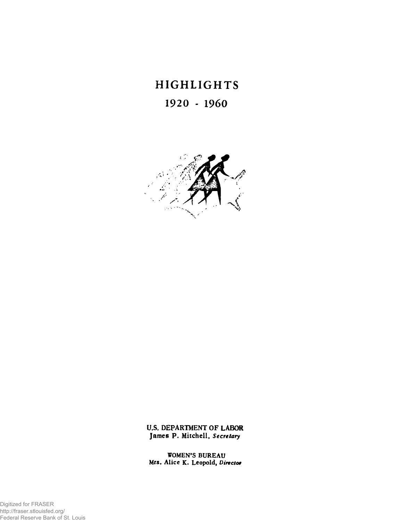# **HIGHLIGHTS 1920 - 1960**



**U.S. DEPARTMENT OF LABOR James P. Mitchell,** *Secretary* 

**WOMEN'S BUREAU Mrs. Alic c K. Leopold,** *Director* 

Digitized for FRASER http://fraser.stlouisfed.org/ Federal Reserve Bank of St. Louis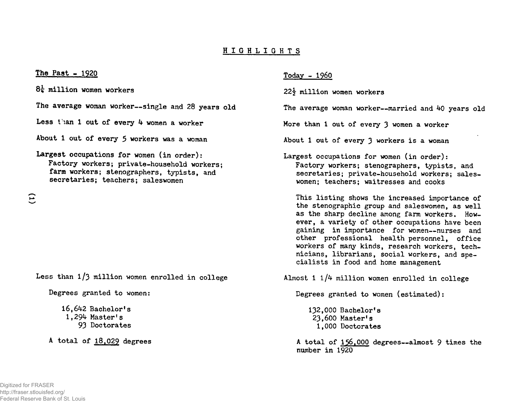# **HIGHLIG H T S**

### **The Past - 1920**

**million women workers** 

**The average woman worker—single and 28 years old** 

Less than 1 out of every 4 women a worker

**About 1 out of every 5 workers was a woman** 

# **Largest occupations for women (in order): Factory workers; private-household workers; farm workers; stenographers, typists, and secretaries; teachers; saleswomen**

 $\widehat{\Xi}$ 

Less than 1/3 million women enrolled in college

**Degrees granted to women:** 

**16,642 Bachelor's 1,294 Master's 93 Doctorates** 

**A tota l of 18,029 degrees** 

## **Today - I960**

**22y million women workers** 

**The average woman worker—married and 40 years old** 

**More than 1 out of every 3 women a worker** 

About 1 out of every 3 workers is a woman

**Largest occupations for women (in order): Factory workers; stenographers, typists, and secretaries; private-household workers; saleswomen; teachers; waitresses and cooks** 

This listing shows the increased importance of **the stenographic group and saleswomen, as well as the sharp decline among farm workers. However, a variety of other occupations have been gaining in importance for women—nurses and other professional health personnel, office workers of many kinds, research workers, technicians, librarians , social workers, and specialist s in food and home management** 

Almost 1 1/4 million women enrolled in college

**Degrees granted to women (estimated):** 

**132,000 Bachelor's 23,600 Master's 1,000 Doctorates** 

**A total of 156,000 degrees—almost 9 times the number i n 1920**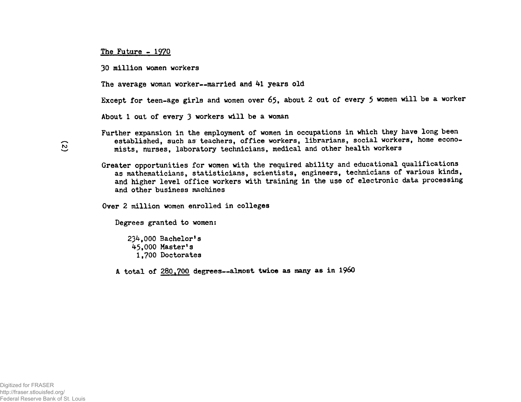#### **The Future - 1970**

**30 million women workers** 

**The average woman worker~married and 41 years old** 

Except for teen-age girls and women over 65. about 2 out of every 5 women will be a worker

About 1 out of every 3 workers will be a woman

Further expansion in the employment of women in occupations in which they have long been established, such as teachers, office workers, librarians, social workers, home econo**mists, nurses, laboratory technicians, medical and other health workers** 

Greater opportunities for women with the required ability and educational qualifications **as mathematicians, statisticians , scientists , engineers, technicians of various kinds,**  and higher level office workers with training in the use of electronic data processing **and other business machines** 

Over 2 million women enrolled in colleges

**Degrees granted to women:** 

**234,000 Bachelor's 45,000 Master's 1,700 Doctorates** 

**A tota l of 280,700 degrees—almost twice as many as i n 196O**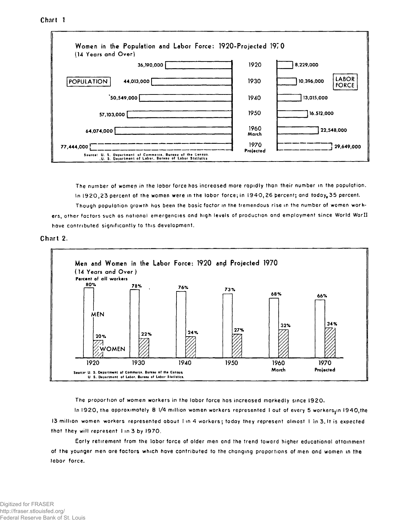# Chart<sub>1</sub>



The number of women in the labor force has increased more rapidly than their number in the population. In 1920, 23 percent of the women were in the labor force; in 1940, 26 percent; and today, 35 percent. Though population growth has been the basic factor in the tremendous rise in the number of women workers, other factors such as national emergencies and high levels of production and employment since World WarII have contributed significantly to this development.





The proportion of women workers in the labor force has increased markedly since I920.

In 1920, the approximately 8 1/4 million women workers represented I out of every 5 workers, in 1940, the 13 million women workers represented about I in 4 workers; today they represent almost I in 3. It is expected that they will represent 1 in 3 by 1970.

Early retirement from the labor force of older men and the trend toward higher educational attainment of the younger men are factors which have contributed to the changing proportions of men and women in the labor force.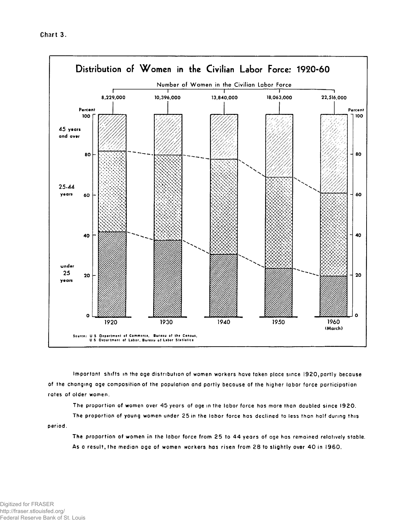

**Important shifts in ttie age distribution of women workers have token ploce since 1920,partly because of the changing age composition of the populotion and partly because of the higher labor force participation rotes of older women.** 

**The proportion of women over 45 yeors of age in the lobor force has more thon doubled since 1920. The proportion of young women under 25 in the lobor force has declined to less than holf during this** 

**period.** 

**The proportion** *of* **women in the labor force from 25 to 4 4 years of age has remained relatively stable. As 0 result, the medion age of women workers has risen from 28 to slightly over 4 0 in I960.**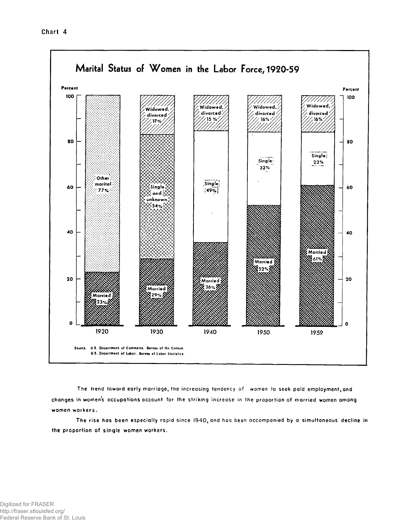

The trend toward early marriage, the increasing tendency of women to seek paid employment, and changes in women's occupations account for the striking increase in the proportion of married women among women workers.

The rise has been especially rapid since 1940, and has been accompanied by a simultaneous decline in the proportion of single women workers.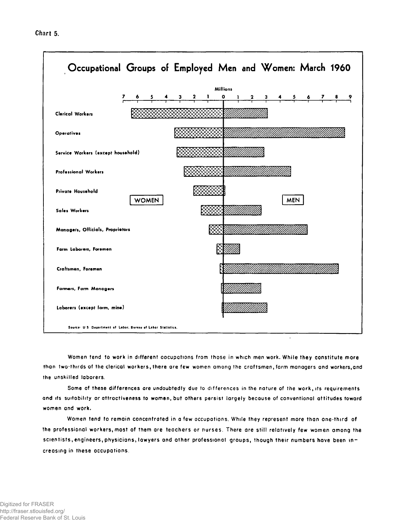

**Women tend to work in different oocupotions from those in which men work. While they constitute more thon two-thirds of the clerical workers, there ore few women omong the craftsmen, form managers and workers,and the unskilled laborers.** 

**Some of these differences ore undoubtedly due to differences in the nature of the work, its requirements and its suitability or attractiveness to women, but others persist largely because of conventional attitudes toword women and work.** 

**Women tend to remain concentrated in a few occupotions. While they represent more than one-third of the professionol workers, most of them ore teachers or nurses. There are still relatively few women among the scientists,engineers, physicians, lowyers and other professional groups, though their numbers hove been increasing in these occupations.**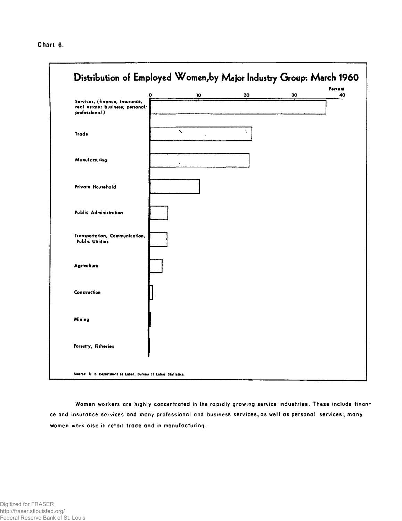Chart 6.



Women workers are highly concentrated in the rapidly growing service industries. These include finance and insurance services and many professional and business services, as well as personal services; many women work also in retail trade and in manufacturing.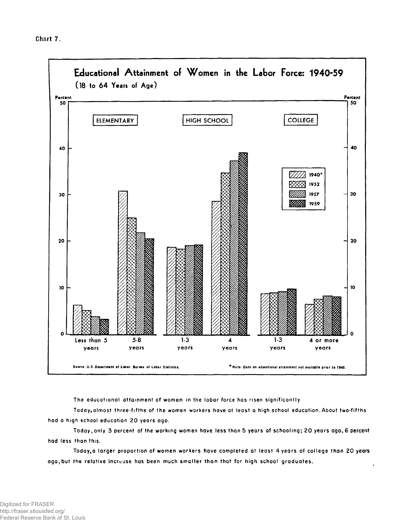

The educational attainment of women in the labor force has risen significantly

Today, almost three-fifths of the women workers have at least a high school education. About two-fifths had a high school education 20 years ago.

Today, only 3 percent of the working women have less than 5 years of schooling; 20 years ago, 6 percent had less than this.

Today, a larger proportion of women workers have completed at least 4 years of college than 20 years ago, but the relative increase has been much smaller than that for high school graduates.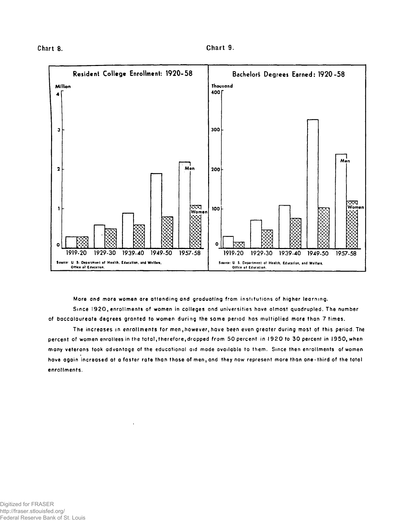

**More and more women ore attending ond graduoting from institutions of higher learning.** 

**Since 1920, enrollments of women in colleges and universities have olmost quadrupled. The number of baccalaureate degrees granted to women during the same period has multiplied more than 7 times.** 

**The increases in enrollments for men, however, have been even greater during most of this period. The percent of women enrollees in the total, therefore,dropped from 50 percent in 1920 to 30 percent in 1950, when mony veterans took advontoge of the educational aid made available to them. Since then enrollments of women hove ogoin increased at a faster rote than those of men, and they now represent more than one-third of the total enrollments.**